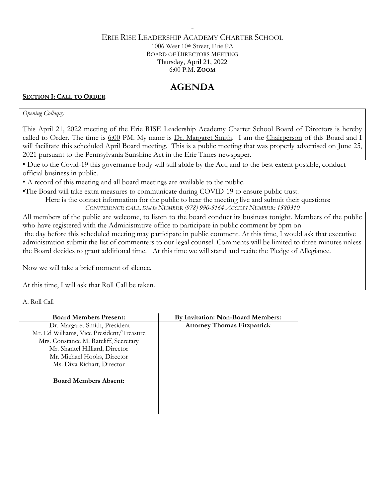## ERIE RISE LEADERSHIP ACADEMY CHARTER SCHOOL 1006 West 10th Street, Erie PA BOARD OF DIRECTORS MEETING Thursday, April 21, 2022 6:00 P.M**. ZOOM**

-

# **AGENDA**

## **SECTION I: CALL TO ORDER**

## *Opening Colloquy*

This April 21, 2022 meeting of the Erie RISE Leadership Academy Charter School Board of Directors is hereby called to Order. The time is 6:00 PM. My name is Dr. Margaret Smith. I am the Chairperson of this Board and I will facilitate this scheduled April Board meeting. This is a public meeting that was properly advertised on June 25, 2021 pursuant to the Pennsylvania Sunshine Act in the Erie Times newspaper.

• Due to the Covid-19 this governance body will still abide by the Act, and to the best extent possible, conduct official business in public.

• A record of this meeting and all board meetings are available to the public.

•The Board will take extra measures to communicate during COVID-19 to ensure public trust.

Here is the contact information for the public to hear the meeting live and submit their questions:

*CONFERENCE CALL Dial In NUMBER (978) 990-5164 ACCESS NUMBER: 1580310*

All members of the public are welcome, to listen to the board conduct its business tonight. Members of the public who have registered with the Administrative office to participate in public comment by 5pm on the day before this scheduled meeting may participate in public comment. At this time, I would ask that executive administration submit the list of commenters to our legal counsel. Comments will be limited to three minutes unless the Board decides to grant additional time. At this time we will stand and recite the Pledge of Allegiance.

Now we will take a brief moment of silence.

At this time, I will ask that Roll Call be taken.

A. Roll Call

| <b>Board Members Present:</b>            | By Invitation: Non-Board Members:  |
|------------------------------------------|------------------------------------|
| Dr. Margaret Smith, President            | <b>Attorney Thomas Fitzpatrick</b> |
| Mr. Ed Williams, Vice President/Treasure |                                    |
| Mrs. Constance M. Ratcliff, Secretary    |                                    |
| Mr. Shantel Hilliard, Director           |                                    |
| Mr. Michael Hooks, Director              |                                    |
| Ms. Diva Richart, Director               |                                    |
| <b>Board Members Absent:</b>             |                                    |
|                                          |                                    |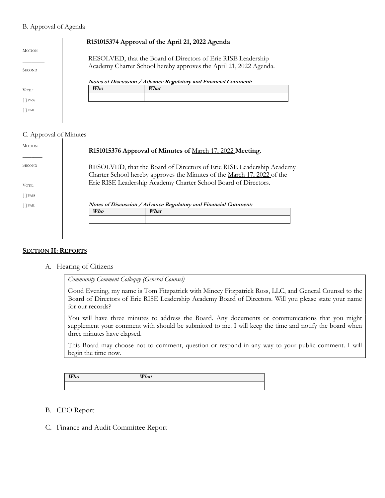#### B. Approval of Agenda

|                                |     | R151015374 Approval of the April 21, 2022 Agenda                                                                                   |
|--------------------------------|-----|------------------------------------------------------------------------------------------------------------------------------------|
| <b>MOTION</b><br><b>SECOND</b> |     | RESOLVED, that the Board of Directors of Erie RISE Leadership<br>Academy Charter School hereby approves the April 21, 2022 Agenda. |
|                                |     | Notes of Discussion / Advance Regulatory and Financial Comment:                                                                    |
| VOTE:                          | Who | What                                                                                                                               |
| <b>PASS</b>                    |     |                                                                                                                                    |
| [ ] FAIL                       |     |                                                                                                                                    |

## C. Approval of Minutes

| <b>MOTION</b>     | R151015376 Approval of Minutes of March 17, 2022 Meeting.                                                                                                                                                           |  |
|-------------------|---------------------------------------------------------------------------------------------------------------------------------------------------------------------------------------------------------------------|--|
| <b>SECOND</b>     | RESOLVED, that the Board of Directors of Erie RISE Leadership Academy<br>Charter School hereby approves the Minutes of the March 17, 2022 of the<br>Erie RISE Leadership Academy Charter School Board of Directors. |  |
| VOTE:<br>$[$ PASS |                                                                                                                                                                                                                     |  |
| $[$ FAIL          | Notes of Discussion / Advance Regulatory and Financial Comment:                                                                                                                                                     |  |
|                   | What<br>Who                                                                                                                                                                                                         |  |
|                   |                                                                                                                                                                                                                     |  |

#### **SECTION II: REPORTS**

A. Hearing of Citizens

*Community Comment Colloquy (General Counsel)*

Good Evening, my name is Tom Fitzpatrick with Mincey Fitzpatrick Ross, LLC, and General Counsel to the Board of Directors of Erie RISE Leadership Academy Board of Directors. Will you please state your name for our records?

You will have three minutes to address the Board. Any documents or communications that you might supplement your comment with should be submitted to me. I will keep the time and notify the board when three minutes have elapsed.

This Board may choose not to comment, question or respond in any way to your public comment. I will begin the time now.

| Who | What |
|-----|------|
|     |      |

- B. CEO Report
- C. Finance and Audit Committee Report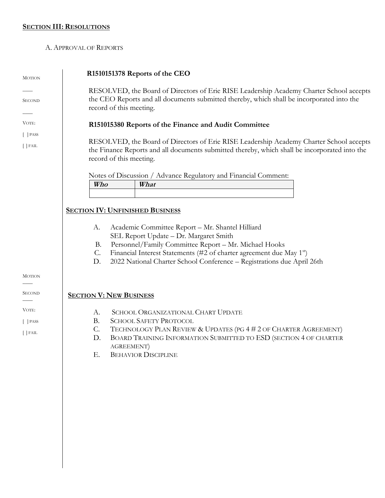## **SECTION III: RESOLUTIONS**

#### A. APPROVAL OF REPORTS

| <b>MOTION</b>   | R1510151378 Reports of the CEO                                                                                                                                                                                      |  |
|-----------------|---------------------------------------------------------------------------------------------------------------------------------------------------------------------------------------------------------------------|--|
| <b>SECOND</b>   | RESOLVED, the Board of Directors of Erie RISE Leadership Academy Charter School accepts<br>the CEO Reports and all documents submitted thereby, which shall be incorporated into the<br>record of this meeting.     |  |
| VOTE:           | R151015380 Reports of the Finance and Audit Committee                                                                                                                                                               |  |
| $[$ $]$ PASS    |                                                                                                                                                                                                                     |  |
| $\lceil$ FAIL   | RESOLVED, the Board of Directors of Erie RISE Leadership Academy Charter School accepts<br>the Finance Reports and all documents submitted thereby, which shall be incorporated into the<br>record of this meeting. |  |
|                 | Notes of Discussion / Advance Regulatory and Financial Comment:                                                                                                                                                     |  |
|                 | Who<br>What                                                                                                                                                                                                         |  |
|                 |                                                                                                                                                                                                                     |  |
|                 | <b>SECTION IV: UNFINISHED BUSINESS</b>                                                                                                                                                                              |  |
|                 |                                                                                                                                                                                                                     |  |
|                 | Academic Committee Report - Mr. Shantel Hilliard<br>А.<br>SEL Report Update - Dr. Margaret Smith                                                                                                                    |  |
|                 | Personnel/Family Committee Report - Mr. Michael Hooks<br><b>B.</b>                                                                                                                                                  |  |
|                 | Financial Interest Statements (#2 of charter agreement due May 1 <sup>st</sup> )<br>С.                                                                                                                              |  |
|                 | D.<br>2022 National Charter School Conference - Registrations due April 26th                                                                                                                                        |  |
| <b>MOTION</b>   |                                                                                                                                                                                                                     |  |
| <b>SECOND</b>   |                                                                                                                                                                                                                     |  |
|                 | <b>SECTION V: NEW BUSINESS</b>                                                                                                                                                                                      |  |
| VOTE:           | SCHOOL ORGANIZATIONAL CHART UPDATE<br>А.                                                                                                                                                                            |  |
| $[$ $]$ PASS    | <b>SCHOOL SAFETY PROTOCOL</b><br><b>B.</b>                                                                                                                                                                          |  |
| $\lceil$   FAIL | $\mathcal{C}$ .<br>TECHNOLOGY PLAN REVIEW & UPDATES (PG 4 # 2 OF CHARTER AGREEMENT)                                                                                                                                 |  |
|                 | BOARD TRAINING INFORMATION SUBMITTED TO ESD (SECTION 4 OF CHARTER<br>D.                                                                                                                                             |  |
|                 | AGREEMENT)<br>Ε.<br><b>BEHAVIOR DISCIPLINE</b>                                                                                                                                                                      |  |
|                 |                                                                                                                                                                                                                     |  |
|                 |                                                                                                                                                                                                                     |  |
|                 |                                                                                                                                                                                                                     |  |
|                 |                                                                                                                                                                                                                     |  |
|                 |                                                                                                                                                                                                                     |  |